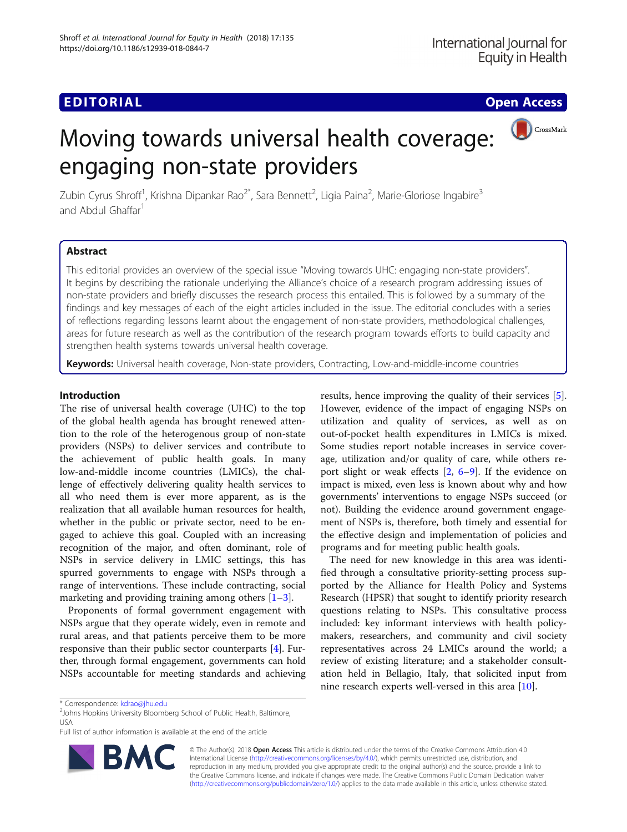## EDITORIAL AND INTERNATIONAL CONTRACT CONTRACT CONTRACT CONTRACT CONTRACT CONTRACT CONTRACT CONTRACT CONTRACT CO

# Moving towards universal health coverage: engaging non-state providers



Zubin Cyrus Shroff<sup>1</sup>, Krishna Dipankar Rao<sup>2\*</sup>, Sara Bennett<sup>2</sup>, Ligia Paina<sup>2</sup>, Marie-Gloriose Ingabire<sup>3</sup> and Abdul Ghaffar<sup>1</sup>

## Abstract

This editorial provides an overview of the special issue "Moving towards UHC: engaging non-state providers". It begins by describing the rationale underlying the Alliance's choice of a research program addressing issues of non-state providers and briefly discusses the research process this entailed. This is followed by a summary of the findings and key messages of each of the eight articles included in the issue. The editorial concludes with a series of reflections regarding lessons learnt about the engagement of non-state providers, methodological challenges, areas for future research as well as the contribution of the research program towards efforts to build capacity and strengthen health systems towards universal health coverage.

Keywords: Universal health coverage, Non-state providers, Contracting, Low-and-middle-income countries

## Introduction

The rise of universal health coverage (UHC) to the top of the global health agenda has brought renewed attention to the role of the heterogenous group of non-state providers (NSPs) to deliver services and contribute to the achievement of public health goals. In many low-and-middle income countries (LMICs), the challenge of effectively delivering quality health services to all who need them is ever more apparent, as is the realization that all available human resources for health, whether in the public or private sector, need to be engaged to achieve this goal. Coupled with an increasing recognition of the major, and often dominant, role of NSPs in service delivery in LMIC settings, this has spurred governments to engage with NSPs through a range of interventions. These include contracting, social marketing and providing training among others  $[1-3]$  $[1-3]$  $[1-3]$ .

Proponents of formal government engagement with NSPs argue that they operate widely, even in remote and rural areas, and that patients perceive them to be more responsive than their public sector counterparts [[4\]](#page-5-0). Further, through formal engagement, governments can hold NSPs accountable for meeting standards and achieving

results, hence improving the quality of their services [\[5](#page-5-0)]. However, evidence of the impact of engaging NSPs on utilization and quality of services, as well as on out-of-pocket health expenditures in LMICs is mixed. Some studies report notable increases in service coverage, utilization and/or quality of care, while others report slight or weak effects [\[2,](#page-5-0) [6](#page-5-0)–[9](#page-5-0)]. If the evidence on impact is mixed, even less is known about why and how governments' interventions to engage NSPs succeed (or not). Building the evidence around government engagement of NSPs is, therefore, both timely and essential for the effective design and implementation of policies and programs and for meeting public health goals.

The need for new knowledge in this area was identified through a consultative priority-setting process supported by the Alliance for Health Policy and Systems Research (HPSR) that sought to identify priority research questions relating to NSPs. This consultative process included: key informant interviews with health policymakers, researchers, and community and civil society representatives across 24 LMICs around the world; a review of existing literature; and a stakeholder consultation held in Bellagio, Italy, that solicited input from nine research experts well-versed in this area [\[10](#page-5-0)].

Full list of author information is available at the end of the article



© The Author(s). 2018 Open Access This article is distributed under the terms of the Creative Commons Attribution 4.0 International License [\(http://creativecommons.org/licenses/by/4.0/](http://creativecommons.org/licenses/by/4.0/)), which permits unrestricted use, distribution, and reproduction in any medium, provided you give appropriate credit to the original author(s) and the source, provide a link to the Creative Commons license, and indicate if changes were made. The Creative Commons Public Domain Dedication waiver [\(http://creativecommons.org/publicdomain/zero/1.0/](http://creativecommons.org/publicdomain/zero/1.0/)) applies to the data made available in this article, unless otherwise stated.

<sup>\*</sup> Correspondence: [kdrao@jhu.edu](mailto:kdrao@jhu.edu) <sup>2</sup>

 $<sup>2</sup>$  Johns Hopkins University Bloomberg School of Public Health, Baltimore,</sup> USA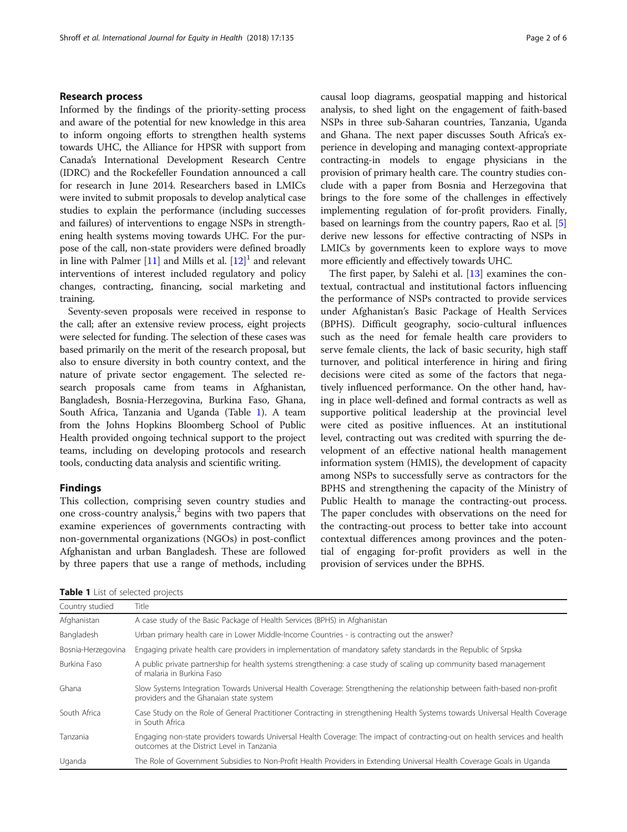## Research process

Informed by the findings of the priority-setting process and aware of the potential for new knowledge in this area to inform ongoing efforts to strengthen health systems towards UHC, the Alliance for HPSR with support from Canada's International Development Research Centre (IDRC) and the Rockefeller Foundation announced a call for research in June 2014. Researchers based in LMICs were invited to submit proposals to develop analytical case studies to explain the performance (including successes and failures) of interventions to engage NSPs in strengthening health systems moving towards UHC. For the purpose of the call, non-state providers were defined broadly in line with Palmer  $[11]$  $[11]$  $[11]$  and Mills et al.  $[12]$  $[12]$ <sup>1</sup> and relevant interventions of interest included regulatory and policy changes, contracting, financing, social marketing and training.

Seventy-seven proposals were received in response to the call; after an extensive review process, eight projects were selected for funding. The selection of these cases was based primarily on the merit of the research proposal, but also to ensure diversity in both country context, and the nature of private sector engagement. The selected research proposals came from teams in Afghanistan, Bangladesh, Bosnia-Herzegovina, Burkina Faso, Ghana, South Africa, Tanzania and Uganda (Table 1). A team from the Johns Hopkins Bloomberg School of Public Health provided ongoing technical support to the project teams, including on developing protocols and research tools, conducting data analysis and scientific writing.

## Findings

This collection, comprising seven country studies and one cross-country analysis, $2$  begins with two papers that examine experiences of governments contracting with non-governmental organizations (NGOs) in post-conflict Afghanistan and urban Bangladesh. These are followed by three papers that use a range of methods, including causal loop diagrams, geospatial mapping and historical analysis, to shed light on the engagement of faith-based NSPs in three sub-Saharan countries, Tanzania, Uganda and Ghana. The next paper discusses South Africa's experience in developing and managing context-appropriate contracting-in models to engage physicians in the provision of primary health care. The country studies conclude with a paper from Bosnia and Herzegovina that brings to the fore some of the challenges in effectively implementing regulation of for-profit providers. Finally, based on learnings from the country papers, Rao et al. [[5](#page-5-0)] derive new lessons for effective contracting of NSPs in LMICs by governments keen to explore ways to move more efficiently and effectively towards UHC.

The first paper, by Salehi et al. [\[13\]](#page-5-0) examines the contextual, contractual and institutional factors influencing the performance of NSPs contracted to provide services under Afghanistan's Basic Package of Health Services (BPHS). Difficult geography, socio-cultural influences such as the need for female health care providers to serve female clients, the lack of basic security, high staff turnover, and political interference in hiring and firing decisions were cited as some of the factors that negatively influenced performance. On the other hand, having in place well-defined and formal contracts as well as supportive political leadership at the provincial level were cited as positive influences. At an institutional level, contracting out was credited with spurring the development of an effective national health management information system (HMIS), the development of capacity among NSPs to successfully serve as contractors for the BPHS and strengthening the capacity of the Ministry of Public Health to manage the contracting-out process. The paper concludes with observations on the need for the contracting-out process to better take into account contextual differences among provinces and the potential of engaging for-profit providers as well in the provision of services under the BPHS.

Table 1 List of selected projects

Country studied Title

| Country studied    | TILLE                                                                                                                                                                     |
|--------------------|---------------------------------------------------------------------------------------------------------------------------------------------------------------------------|
| Afghanistan        | A case study of the Basic Package of Health Services (BPHS) in Afghanistan                                                                                                |
| Bangladesh         | Urban primary health care in Lower Middle-Income Countries - is contracting out the answer?                                                                               |
| Bosnia-Herzegovina | Engaging private health care providers in implementation of mandatory safety standards in the Republic of Srpska                                                          |
| Burkina Faso       | A public private partnership for health systems strengthening: a case study of scaling up community based management<br>of malaria in Burkina Faso                        |
| Ghana              | Slow Systems Integration Towards Universal Health Coverage: Strengthening the relationship between faith-based non-profit<br>providers and the Ghanaian state system      |
| South Africa       | Case Study on the Role of General Practitioner Contracting in strengthening Health Systems towards Universal Health Coverage<br>in South Africa                           |
| Tanzania           | Engaging non-state providers towards Universal Health Coverage: The impact of contracting-out on health services and health<br>outcomes at the District Level in Tanzania |
| Uganda             | The Role of Government Subsidies to Non-Profit Health Providers in Extending Universal Health Coverage Goals in Uganda                                                    |
|                    |                                                                                                                                                                           |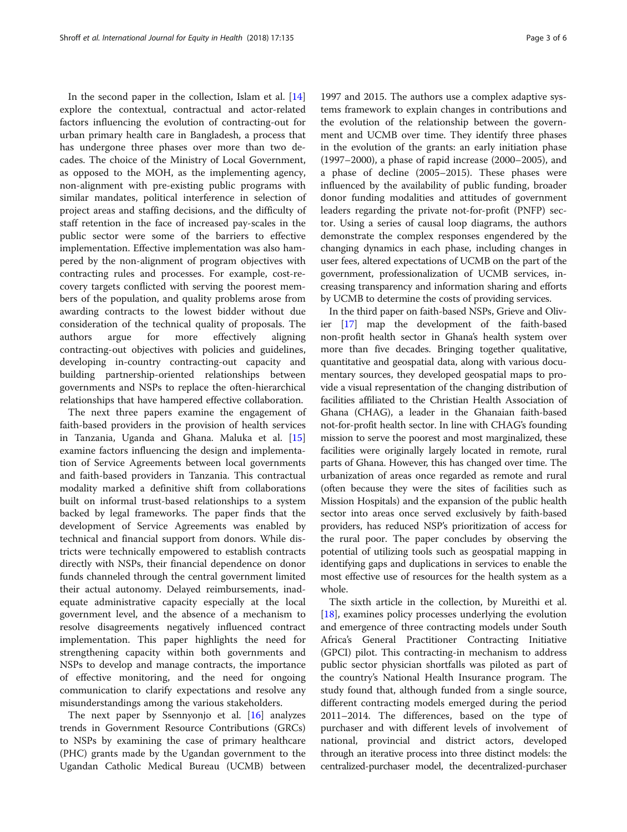In the second paper in the collection, Islam et al. [[14](#page-5-0)] explore the contextual, contractual and actor-related factors influencing the evolution of contracting-out for urban primary health care in Bangladesh, a process that has undergone three phases over more than two decades. The choice of the Ministry of Local Government, as opposed to the MOH, as the implementing agency, non-alignment with pre-existing public programs with similar mandates, political interference in selection of project areas and staffing decisions, and the difficulty of staff retention in the face of increased pay-scales in the public sector were some of the barriers to effective implementation. Effective implementation was also hampered by the non-alignment of program objectives with contracting rules and processes. For example, cost-recovery targets conflicted with serving the poorest members of the population, and quality problems arose from awarding contracts to the lowest bidder without due consideration of the technical quality of proposals. The authors argue for more effectively aligning contracting-out objectives with policies and guidelines, developing in-country contracting-out capacity and building partnership-oriented relationships between governments and NSPs to replace the often-hierarchical relationships that have hampered effective collaboration.

The next three papers examine the engagement of faith-based providers in the provision of health services in Tanzania, Uganda and Ghana. Maluka et al. [[15](#page-5-0)] examine factors influencing the design and implementation of Service Agreements between local governments and faith-based providers in Tanzania. This contractual modality marked a definitive shift from collaborations built on informal trust-based relationships to a system backed by legal frameworks. The paper finds that the development of Service Agreements was enabled by technical and financial support from donors. While districts were technically empowered to establish contracts directly with NSPs, their financial dependence on donor funds channeled through the central government limited their actual autonomy. Delayed reimbursements, inadequate administrative capacity especially at the local government level, and the absence of a mechanism to resolve disagreements negatively influenced contract implementation. This paper highlights the need for strengthening capacity within both governments and NSPs to develop and manage contracts, the importance of effective monitoring, and the need for ongoing communication to clarify expectations and resolve any misunderstandings among the various stakeholders.

The next paper by Ssennyonjo et al. [\[16\]](#page-5-0) analyzes trends in Government Resource Contributions (GRCs) to NSPs by examining the case of primary healthcare (PHC) grants made by the Ugandan government to the Ugandan Catholic Medical Bureau (UCMB) between

1997 and 2015. The authors use a complex adaptive systems framework to explain changes in contributions and the evolution of the relationship between the government and UCMB over time. They identify three phases in the evolution of the grants: an early initiation phase (1997–2000), a phase of rapid increase (2000–2005), and a phase of decline (2005–2015). These phases were influenced by the availability of public funding, broader donor funding modalities and attitudes of government leaders regarding the private not-for-profit (PNFP) sector. Using a series of causal loop diagrams, the authors demonstrate the complex responses engendered by the changing dynamics in each phase, including changes in user fees, altered expectations of UCMB on the part of the government, professionalization of UCMB services, increasing transparency and information sharing and efforts by UCMB to determine the costs of providing services.

In the third paper on faith-based NSPs, Grieve and Olivier [\[17\]](#page-5-0) map the development of the faith-based non-profit health sector in Ghana's health system over more than five decades. Bringing together qualitative, quantitative and geospatial data, along with various documentary sources, they developed geospatial maps to provide a visual representation of the changing distribution of facilities affiliated to the Christian Health Association of Ghana (CHAG), a leader in the Ghanaian faith-based not-for-profit health sector. In line with CHAG's founding mission to serve the poorest and most marginalized, these facilities were originally largely located in remote, rural parts of Ghana. However, this has changed over time. The urbanization of areas once regarded as remote and rural (often because they were the sites of facilities such as Mission Hospitals) and the expansion of the public health sector into areas once served exclusively by faith-based providers, has reduced NSP's prioritization of access for the rural poor. The paper concludes by observing the potential of utilizing tools such as geospatial mapping in identifying gaps and duplications in services to enable the most effective use of resources for the health system as a whole.

The sixth article in the collection, by Mureithi et al. [[18\]](#page-5-0), examines policy processes underlying the evolution and emergence of three contracting models under South Africa's General Practitioner Contracting Initiative (GPCI) pilot. This contracting-in mechanism to address public sector physician shortfalls was piloted as part of the country's National Health Insurance program. The study found that, although funded from a single source, different contracting models emerged during the period 2011–2014. The differences, based on the type of purchaser and with different levels of involvement of national, provincial and district actors, developed through an iterative process into three distinct models: the centralized-purchaser model, the decentralized-purchaser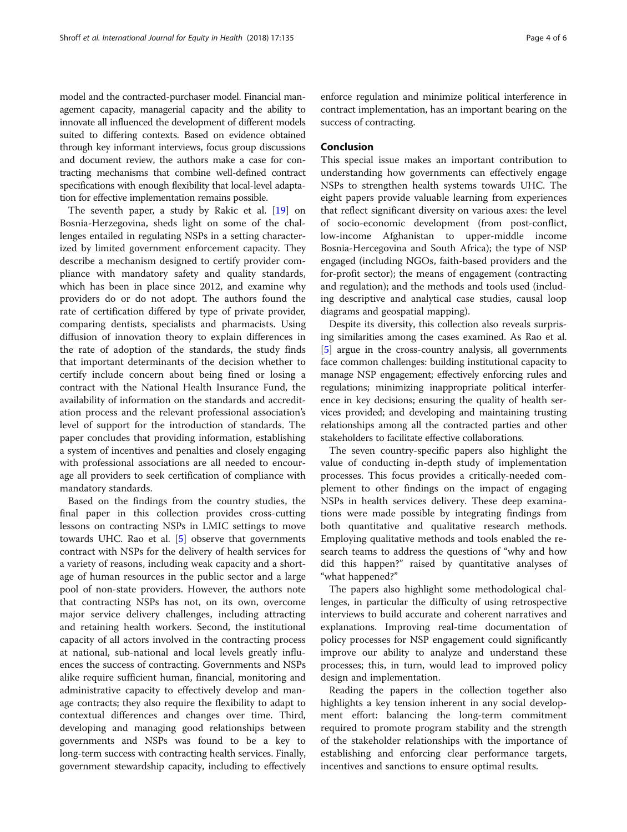model and the contracted-purchaser model. Financial management capacity, managerial capacity and the ability to innovate all influenced the development of different models suited to differing contexts. Based on evidence obtained through key informant interviews, focus group discussions and document review, the authors make a case for contracting mechanisms that combine well-defined contract specifications with enough flexibility that local-level adaptation for effective implementation remains possible.

The seventh paper, a study by Rakic et al. [[19\]](#page-5-0) on Bosnia-Herzegovina, sheds light on some of the challenges entailed in regulating NSPs in a setting characterized by limited government enforcement capacity. They describe a mechanism designed to certify provider compliance with mandatory safety and quality standards, which has been in place since 2012, and examine why providers do or do not adopt. The authors found the rate of certification differed by type of private provider, comparing dentists, specialists and pharmacists. Using diffusion of innovation theory to explain differences in the rate of adoption of the standards, the study finds that important determinants of the decision whether to certify include concern about being fined or losing a contract with the National Health Insurance Fund, the availability of information on the standards and accreditation process and the relevant professional association's level of support for the introduction of standards. The paper concludes that providing information, establishing a system of incentives and penalties and closely engaging with professional associations are all needed to encourage all providers to seek certification of compliance with mandatory standards.

Based on the findings from the country studies, the final paper in this collection provides cross-cutting lessons on contracting NSPs in LMIC settings to move towards UHC. Rao et al. [\[5](#page-5-0)] observe that governments contract with NSPs for the delivery of health services for a variety of reasons, including weak capacity and a shortage of human resources in the public sector and a large pool of non-state providers. However, the authors note that contracting NSPs has not, on its own, overcome major service delivery challenges, including attracting and retaining health workers. Second, the institutional capacity of all actors involved in the contracting process at national, sub-national and local levels greatly influences the success of contracting. Governments and NSPs alike require sufficient human, financial, monitoring and administrative capacity to effectively develop and manage contracts; they also require the flexibility to adapt to contextual differences and changes over time. Third, developing and managing good relationships between governments and NSPs was found to be a key to long-term success with contracting health services. Finally, government stewardship capacity, including to effectively

enforce regulation and minimize political interference in contract implementation, has an important bearing on the success of contracting.

## Conclusion

This special issue makes an important contribution to understanding how governments can effectively engage NSPs to strengthen health systems towards UHC. The eight papers provide valuable learning from experiences that reflect significant diversity on various axes: the level of socio-economic development (from post-conflict, low-income Afghanistan to upper-middle income Bosnia-Hercegovina and South Africa); the type of NSP engaged (including NGOs, faith-based providers and the for-profit sector); the means of engagement (contracting and regulation); and the methods and tools used (including descriptive and analytical case studies, causal loop diagrams and geospatial mapping).

Despite its diversity, this collection also reveals surprising similarities among the cases examined. As Rao et al. [[5\]](#page-5-0) argue in the cross-country analysis, all governments face common challenges: building institutional capacity to manage NSP engagement; effectively enforcing rules and regulations; minimizing inappropriate political interference in key decisions; ensuring the quality of health services provided; and developing and maintaining trusting relationships among all the contracted parties and other stakeholders to facilitate effective collaborations.

The seven country-specific papers also highlight the value of conducting in-depth study of implementation processes. This focus provides a critically-needed complement to other findings on the impact of engaging NSPs in health services delivery. These deep examinations were made possible by integrating findings from both quantitative and qualitative research methods. Employing qualitative methods and tools enabled the research teams to address the questions of "why and how did this happen?" raised by quantitative analyses of "what happened?"

The papers also highlight some methodological challenges, in particular the difficulty of using retrospective interviews to build accurate and coherent narratives and explanations. Improving real-time documentation of policy processes for NSP engagement could significantly improve our ability to analyze and understand these processes; this, in turn, would lead to improved policy design and implementation.

Reading the papers in the collection together also highlights a key tension inherent in any social development effort: balancing the long-term commitment required to promote program stability and the strength of the stakeholder relationships with the importance of establishing and enforcing clear performance targets, incentives and sanctions to ensure optimal results.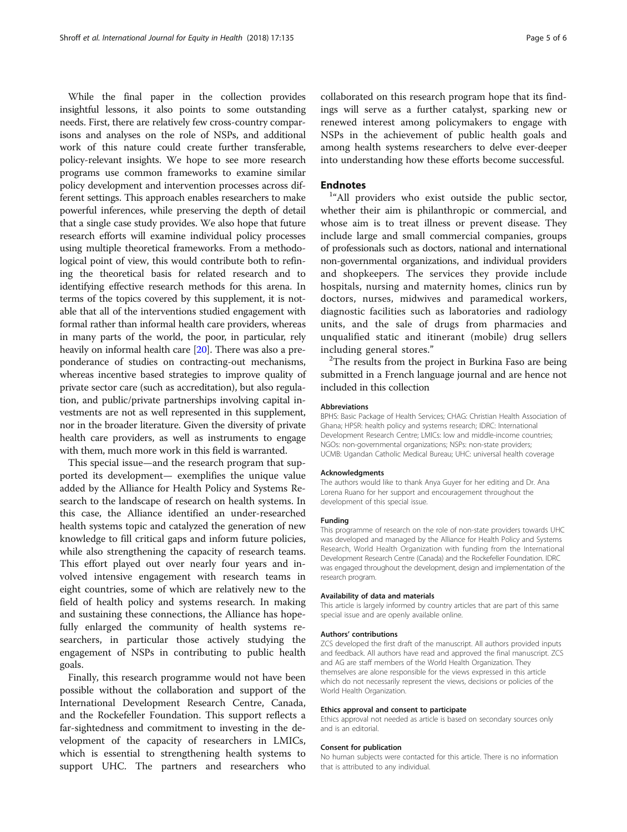While the final paper in the collection provides insightful lessons, it also points to some outstanding needs. First, there are relatively few cross-country comparisons and analyses on the role of NSPs, and additional work of this nature could create further transferable, policy-relevant insights. We hope to see more research programs use common frameworks to examine similar policy development and intervention processes across different settings. This approach enables researchers to make powerful inferences, while preserving the depth of detail that a single case study provides. We also hope that future research efforts will examine individual policy processes using multiple theoretical frameworks. From a methodological point of view, this would contribute both to refining the theoretical basis for related research and to identifying effective research methods for this arena. In terms of the topics covered by this supplement, it is notable that all of the interventions studied engagement with formal rather than informal health care providers, whereas in many parts of the world, the poor, in particular, rely heavily on informal health care [[20](#page-5-0)]. There was also a preponderance of studies on contracting-out mechanisms, whereas incentive based strategies to improve quality of private sector care (such as accreditation), but also regulation, and public/private partnerships involving capital investments are not as well represented in this supplement, nor in the broader literature. Given the diversity of private health care providers, as well as instruments to engage with them, much more work in this field is warranted.

This special issue—and the research program that supported its development— exemplifies the unique value added by the Alliance for Health Policy and Systems Research to the landscape of research on health systems. In this case, the Alliance identified an under-researched health systems topic and catalyzed the generation of new knowledge to fill critical gaps and inform future policies, while also strengthening the capacity of research teams. This effort played out over nearly four years and involved intensive engagement with research teams in eight countries, some of which are relatively new to the field of health policy and systems research. In making and sustaining these connections, the Alliance has hopefully enlarged the community of health systems researchers, in particular those actively studying the engagement of NSPs in contributing to public health goals.

Finally, this research programme would not have been possible without the collaboration and support of the International Development Research Centre, Canada, and the Rockefeller Foundation. This support reflects a far-sightedness and commitment to investing in the development of the capacity of researchers in LMICs, which is essential to strengthening health systems to support UHC. The partners and researchers who

collaborated on this research program hope that its findings will serve as a further catalyst, sparking new or renewed interest among policymakers to engage with NSPs in the achievement of public health goals and among health systems researchers to delve ever-deeper into understanding how these efforts become successful.

### **Endnotes**

<sup>1</sup>"All providers who exist outside the public sector, whether their aim is philanthropic or commercial, and whose aim is to treat illness or prevent disease. They include large and small commercial companies, groups of professionals such as doctors, national and international non-governmental organizations, and individual providers and shopkeepers. The services they provide include hospitals, nursing and maternity homes, clinics run by doctors, nurses, midwives and paramedical workers, diagnostic facilities such as laboratories and radiology units, and the sale of drugs from pharmacies and unqualified static and itinerant (mobile) drug sellers including general stores." <sup>2</sup>

<sup>2</sup>The results from the project in Burkina Faso are being submitted in a French language journal and are hence not included in this collection

#### Abbreviations

BPHS: Basic Package of Health Services; CHAG: Christian Health Association of Ghana; HPSR: health policy and systems research; IDRC: International Development Research Centre; LMICs: low and middle-income countries; NGOs: non-governmental organizations; NSPs: non-state providers; UCMB: Ugandan Catholic Medical Bureau; UHC: universal health coverage

#### Acknowledgments

The authors would like to thank Anya Guyer for her editing and Dr. Ana Lorena Ruano for her support and encouragement throughout the development of this special issue.

#### Funding

This programme of research on the role of non-state providers towards UHC was developed and managed by the Alliance for Health Policy and Systems Research, World Health Organization with funding from the International Development Research Centre (Canada) and the Rockefeller Foundation. IDRC was engaged throughout the development, design and implementation of the research program.

#### Availability of data and materials

This article is largely informed by country articles that are part of this same special issue and are openly available online.

#### Authors' contributions

ZCS developed the first draft of the manuscript. All authors provided inputs and feedback. All authors have read and approved the final manuscript. ZCS and AG are staff members of the World Health Organization. They themselves are alone responsible for the views expressed in this article which do not necessarily represent the views, decisions or policies of the World Health Organization.

#### Ethics approval and consent to participate

Ethics approval not needed as article is based on secondary sources only and is an editorial.

#### Consent for publication

No human subjects were contacted for this article. There is no information that is attributed to any individual.